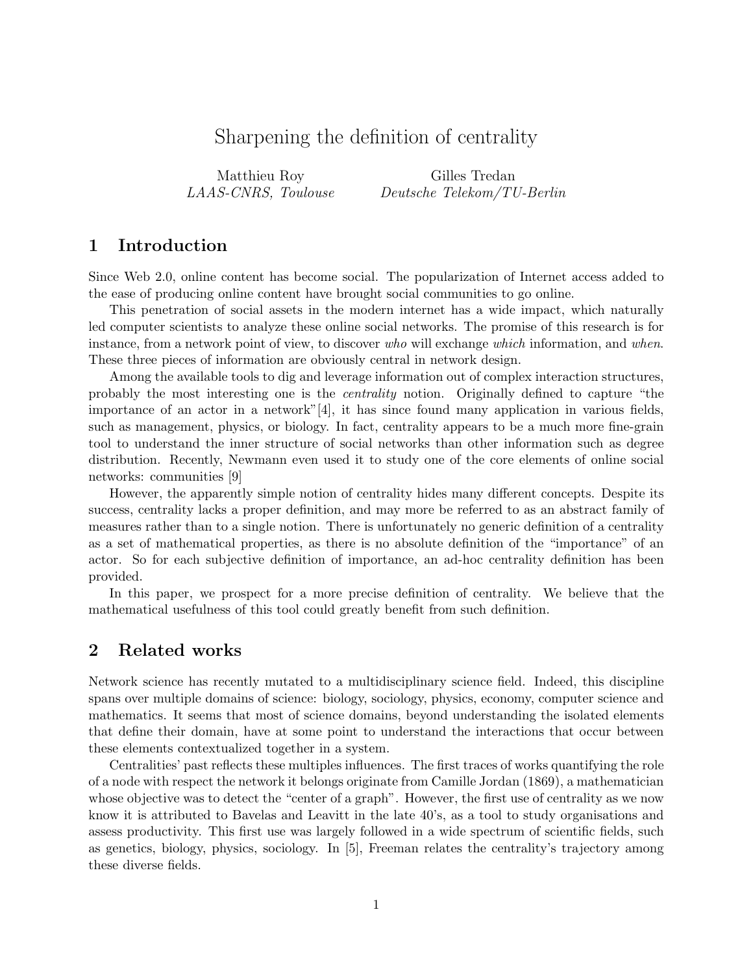# Sharpening the definition of centrality

Matthieu Roy LAAS-CNRS, Toulouse

Gilles Tredan Deutsche Telekom/TU-Berlin

## 1 Introduction

Since Web 2.0, online content has become social. The popularization of Internet access added to the ease of producing online content have brought social communities to go online.

This penetration of social assets in the modern internet has a wide impact, which naturally led computer scientists to analyze these online social networks. The promise of this research is for instance, from a network point of view, to discover who will exchange which information, and when. These three pieces of information are obviously central in network design.

Among the available tools to dig and leverage information out of complex interaction structures, probably the most interesting one is the centrality notion. Originally defined to capture "the importance of an actor in a network" $[4]$ , it has since found many application in various fields, such as management, physics, or biology. In fact, centrality appears to be a much more fine-grain tool to understand the inner structure of social networks than other information such as degree distribution. Recently, Newmann even used it to study one of the core elements of online social networks: communities [9]

However, the apparently simple notion of centrality hides many different concepts. Despite its success, centrality lacks a proper definition, and may more be referred to as an abstract family of measures rather than to a single notion. There is unfortunately no generic definition of a centrality as a set of mathematical properties, as there is no absolute definition of the "importance" of an actor. So for each subjective definition of importance, an ad-hoc centrality definition has been provided.

In this paper, we prospect for a more precise definition of centrality. We believe that the mathematical usefulness of this tool could greatly benefit from such definition.

### 2 Related works

Network science has recently mutated to a multidisciplinary science field. Indeed, this discipline spans over multiple domains of science: biology, sociology, physics, economy, computer science and mathematics. It seems that most of science domains, beyond understanding the isolated elements that define their domain, have at some point to understand the interactions that occur between these elements contextualized together in a system.

Centralities' past reflects these multiples influences. The first traces of works quantifying the role of a node with respect the network it belongs originate from Camille Jordan (1869), a mathematician whose objective was to detect the "center of a graph". However, the first use of centrality as we now know it is attributed to Bavelas and Leavitt in the late 40's, as a tool to study organisations and assess productivity. This first use was largely followed in a wide spectrum of scientific fields, such as genetics, biology, physics, sociology. In [5], Freeman relates the centrality's trajectory among these diverse fields.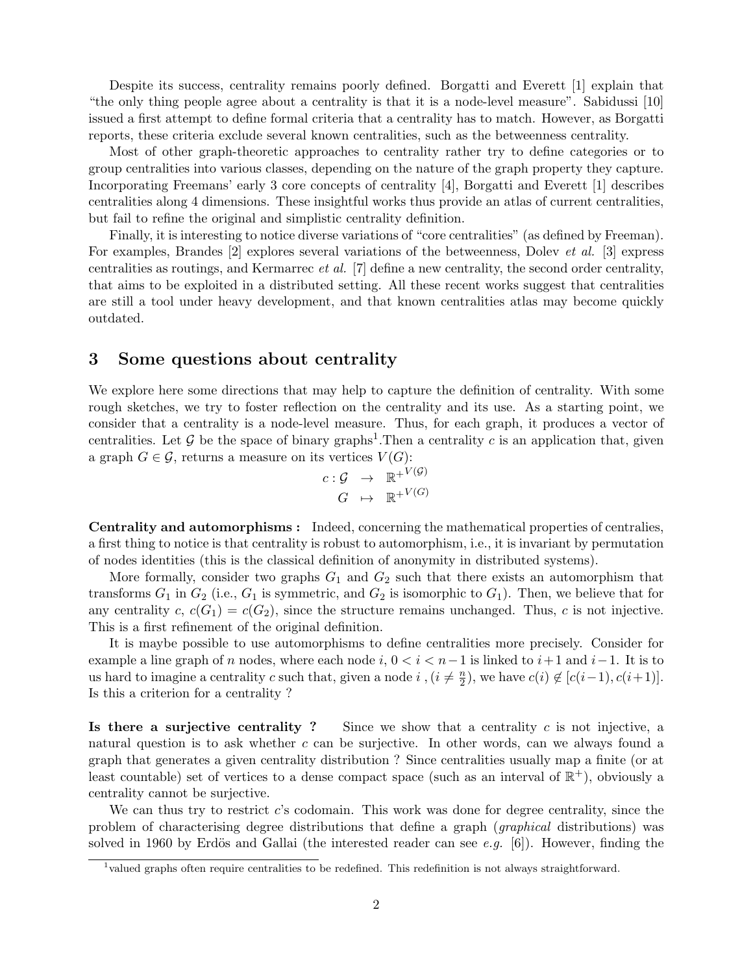Despite its success, centrality remains poorly defined. Borgatti and Everett [1] explain that "the only thing people agree about a centrality is that it is a node-level measure". Sabidussi [10] issued a first attempt to define formal criteria that a centrality has to match. However, as Borgatti reports, these criteria exclude several known centralities, such as the betweenness centrality.

Most of other graph-theoretic approaches to centrality rather try to define categories or to group centralities into various classes, depending on the nature of the graph property they capture. Incorporating Freemans' early 3 core concepts of centrality [4], Borgatti and Everett [1] describes centralities along 4 dimensions. These insightful works thus provide an atlas of current centralities, but fail to refine the original and simplistic centrality definition.

Finally, it is interesting to notice diverse variations of "core centralities" (as defined by Freeman). For examples, Brandes [2] explores several variations of the betweenness, Dolev et al. [3] express centralities as routings, and Kermarrec et al. [7] define a new centrality, the second order centrality, that aims to be exploited in a distributed setting. All these recent works suggest that centralities are still a tool under heavy development, and that known centralities atlas may become quickly outdated.

#### 3 Some questions about centrality

We explore here some directions that may help to capture the definition of centrality. With some rough sketches, we try to foster reflection on the centrality and its use. As a starting point, we consider that a centrality is a node-level measure. Thus, for each graph, it produces a vector of centralities. Let G be the space of binary graphs<sup>1</sup>. Then a centrality c is an application that, given a graph  $G \in \mathcal{G}$ , returns a measure on its vertices  $V(G)$ :

$$
c: \mathcal{G} \rightarrow \mathbb{R}^{+V(\mathcal{G})}
$$

$$
G \rightarrow \mathbb{R}^{+V(G)}
$$

Centrality and automorphisms : Indeed, concerning the mathematical properties of centralies, a first thing to notice is that centrality is robust to automorphism, i.e., it is invariant by permutation of nodes identities (this is the classical definition of anonymity in distributed systems).

More formally, consider two graphs  $G_1$  and  $G_2$  such that there exists an automorphism that transforms  $G_1$  in  $G_2$  (i.e.,  $G_1$  is symmetric, and  $G_2$  is isomorphic to  $G_1$ ). Then, we believe that for any centrality  $c, c(G_1) = c(G_2)$ , since the structure remains unchanged. Thus, c is not injective. This is a first refinement of the original definition.

It is maybe possible to use automorphisms to define centralities more precisely. Consider for example a line graph of n nodes, where each node i,  $0 < i < n-1$  is linked to  $i+1$  and  $i-1$ . It is to us hard to imagine a centrality c such that, given a node i,  $(i \neq \frac{n}{2})$  $\frac{n}{2}$ , we have  $c(i) \notin [c(i-1), c(i+1)].$ Is this a criterion for a centrality ?

Is there a surjective centrality ? Since we show that a centrality  $c$  is not injective, a natural question is to ask whether c can be surjective. In other words, can we always found a graph that generates a given centrality distribution ? Since centralities usually map a finite (or at least countable) set of vertices to a dense compact space (such as an interval of  $\mathbb{R}^+$ ), obviously a centrality cannot be surjective.

We can thus try to restrict c's codomain. This work was done for degree centrality, since the problem of characterising degree distributions that define a graph (graphical distributions) was solved in 1960 by Erdös and Gallai (the interested reader can see e.g. [6]). However, finding the

<sup>&</sup>lt;sup>1</sup>valued graphs often require centralities to be redefined. This redefinition is not always straightforward.